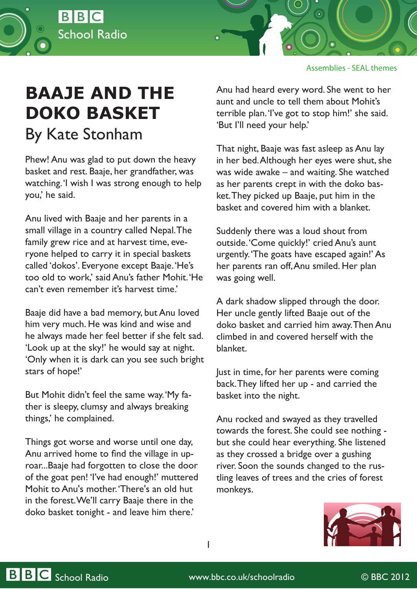



## **BAAJE AND THE DOKO BASKET** By Kate Stonham

Phew! Anu was glad to put down the heavy basket and rest. Baaje, her grandfather, was watching. 'I wish I was strong enough to help you,' he said.

Anu lived with Baaje and her parents in a small village in a country called Nepal. The family grew rice and at harvest time, everyone helped to carry it in special baskets called 'dokos'. Everyone except Baaje. 'He's too old to work,' said Anu's father Mohit. 'He can't even remember it's harvest time.'

Baaje did have a bad memory, but Anu loved him very much. He was kind and wise and he always made her feel better if she felt sad. 'Look up at the sky!' he would say at night. 'Only when it is dark can you see such bright stars of hope!'

But Mohit didn't feel the same way. 'My father is sleepy, clumsy and always breaking things,' he complained.

Things got worse and worse until one day, Anu arrived home to find the village in uproar...Baaje had forgotten to close the door of the goat pen! 'I've had enough!' muttered Mohit to Anu's mother. 'There's an old hut in the forest. We'll carry Baaje there in the doko basket tonight - and leave him there.'

Anu had heard every word. She went to her aunt and uncle to tell them about Mohit's terrible plan. 'I've got to stop him!' she said. 'But I'll need your help.'

That night, Baaje was fast asleep as Anu lay in her bed. Although her eyes were shut, she was wide awake – and waiting. She watched as her parents crept in with the doko basket. They picked up Baaje, put him in the basket and covered him with a blanket.

Suddenly there was a loud shout from outside. 'Come quickly!' cried Anu's aunt urgently. 'The goats have escaped again!' As her parents ran off, Anu smiled. Her plan was going well.

A dark shadow slipped through the door. Her uncle gently lifted Baaje out of the doko basket and carried him away. Then Anu climbed in and covered herself with the blanket.

Just in time, for her parents were coming back. They lifted her up - and carried the basket into the night.

Anu rocked and swayed as they travelled towards the forest. She could see nothing but she could hear everything. She listened as they crossed a bridge over a gushing river. Soon the sounds changed to the rustling leaves of trees and the cries of forest monkeys.